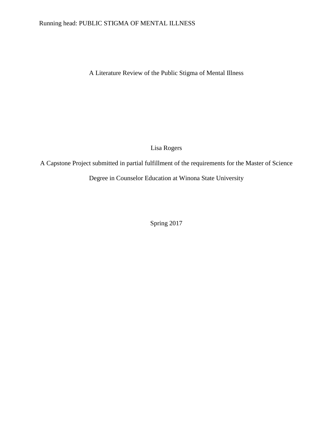# Running head: PUBLIC STIGMA OF MENTAL ILLNESS

A Literature Review of the Public Stigma of Mental Illness

Lisa Rogers

A Capstone Project submitted in partial fulfillment of the requirements for the Master of Science

Degree in Counselor Education at Winona State University

Spring 2017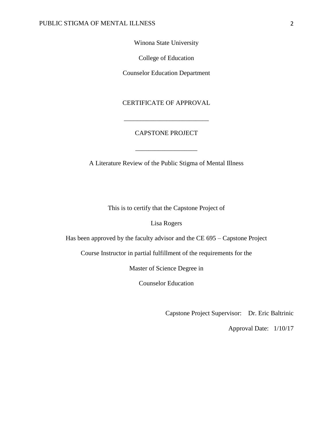Winona State University

College of Education

Counselor Education Department

CERTIFICATE OF APPROVAL

\_\_\_\_\_\_\_\_\_\_\_\_\_\_\_\_\_\_\_\_\_\_\_\_\_\_

# CAPSTONE PROJECT

\_\_\_\_\_\_\_\_\_\_\_\_\_\_\_\_\_\_\_

A Literature Review of the Public Stigma of Mental Illness

This is to certify that the Capstone Project of

Lisa Rogers

Has been approved by the faculty advisor and the CE 695 – Capstone Project

Course Instructor in partial fulfillment of the requirements for the

Master of Science Degree in

Counselor Education

Capstone Project Supervisor: Dr. Eric Baltrinic

Approval Date: 1/10/17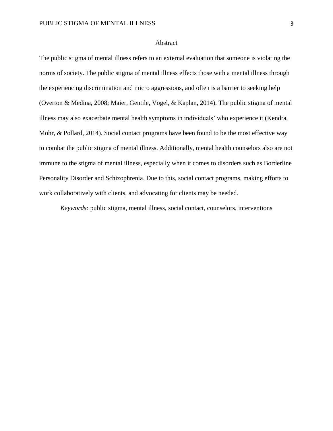#### Abstract

The public stigma of mental illness refers to an external evaluation that someone is violating the norms of society. The public stigma of mental illness effects those with a mental illness through the experiencing discrimination and micro aggressions, and often is a barrier to seeking help (Overton & Medina, 2008; Maier, Gentile, Vogel, & Kaplan, 2014). The public stigma of mental illness may also exacerbate mental health symptoms in individuals' who experience it (Kendra, Mohr, & Pollard, 2014). Social contact programs have been found to be the most effective way to combat the public stigma of mental illness. Additionally, mental health counselors also are not immune to the stigma of mental illness, especially when it comes to disorders such as Borderline Personality Disorder and Schizophrenia. Due to this, social contact programs, making efforts to work collaboratively with clients, and advocating for clients may be needed.

*Keywords:* public stigma, mental illness, social contact, counselors, interventions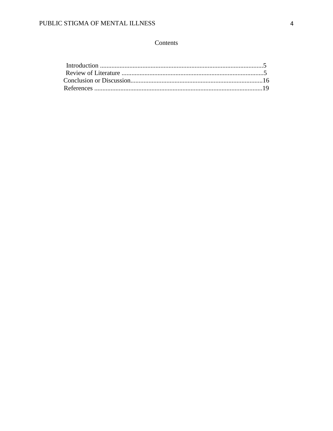# Contents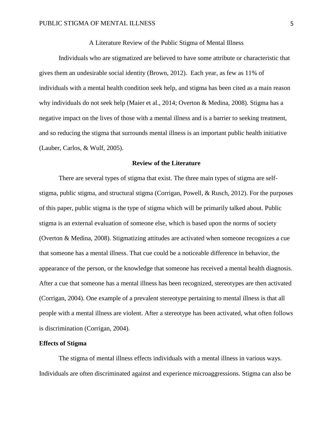## A Literature Review of the Public Stigma of Mental Illness

Individuals who are stigmatized are believed to have some attribute or characteristic that gives them an undesirable social identity (Brown, 2012). Each year, as few as 11% of individuals with a mental health condition seek help, and stigma has been cited as a main reason why individuals do not seek help (Maier et al., 2014; Overton & Medina, 2008). Stigma has a negative impact on the lives of those with a mental illness and is a barrier to seeking treatment, and so reducing the stigma that surrounds mental illness is an important public health initiative (Lauber, Carlos, & Wulf, 2005).

# **Review of the Literature**

There are several types of stigma that exist. The three main types of stigma are selfstigma, public stigma, and structural stigma (Corrigan, Powell, & Rusch, 2012). For the purposes of this paper, public stigma is the type of stigma which will be primarily talked about. Public stigma is an external evaluation of someone else, which is based upon the norms of society (Overton & Medina, 2008). Stigmatizing attitudes are activated when someone recognizes a cue that someone has a mental illness. That cue could be a noticeable difference in behavior, the appearance of the person, or the knowledge that someone has received a mental health diagnosis. After a cue that someone has a mental illness has been recognized, stereotypes are then activated (Corrigan, 2004). One example of a prevalent stereotype pertaining to mental illness is that all people with a mental illness are violent. After a stereotype has been activated, what often follows is discrimination (Corrigan, 2004).

## **Effects of Stigma**

The stigma of mental illness effects individuals with a mental illness in various ways. Individuals are often discriminated against and experience microaggressions. Stigma can also be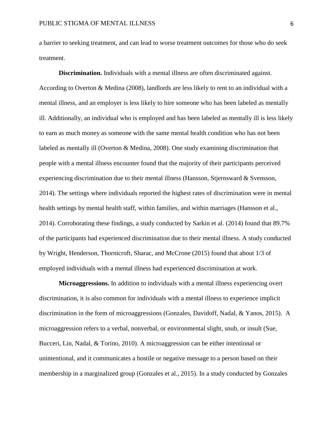a barrier to seeking treatment, and can lead to worse treatment outcomes for those who do seek treatment.

**Discrimination.** Individuals with a mental illness are often discriminated against. According to Overton & Medina (2008), landlords are less likely to rent to an individual with a mental illness, and an employer is less likely to hire someone who has been labeled as mentally ill. Additionally, an individual who is employed and has been labeled as mentally ill is less likely to earn as much money as someone with the same mental health condition who has not been labeled as mentally ill (Overton & Medina, 2008). One study examining discrimination that people with a mental illness encounter found that the majority of their participants perceived experiencing discrimination due to their mental illness (Hansson, Stjernsward & Svensson, 2014). The settings where individuals reported the highest rates of discrimination were in mental health settings by mental health staff, within families, and within marriages (Hansson et al., 2014). Corroborating these findings, a study conducted by Sarkin et al. (2014) found that 89.7% of the participants had experienced discrimination due to their mental illness. A study conducted by Wright, Henderson, Thornicroft, Sharac, and McCrone (2015) found that about 1/3 of employed individuals with a mental illness had experienced discrimination at work.

**Microaggressions.** In addition to individuals with a mental illness experiencing overt discrimination, it is also common for individuals with a mental illness to experience implicit discrimination in the form of microaggressions (Gonzales, Davidoff, Nadal, & Yanos, 2015). A microaggression refers to a verbal, nonverbal, or environmental slight, snub, or insult (Sue, Bucceri, Lin, Nadal, & Torino, 2010). A microaggression can be either intentional or unintentional, and it communicates a hostile or negative message to a person based on their membership in a marginalized group (Gonzales et al., 2015). In a study conducted by Gonzales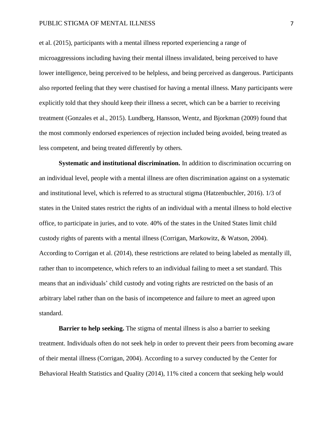#### PUBLIC STIGMA OF MENTAL ILLNESS 7

et al. (2015), participants with a mental illness reported experiencing a range of microaggressions including having their mental illness invalidated, being perceived to have lower intelligence, being perceived to be helpless, and being perceived as dangerous. Participants also reported feeling that they were chastised for having a mental illness. Many participants were explicitly told that they should keep their illness a secret, which can be a barrier to receiving treatment (Gonzales et al., 2015). Lundberg, Hansson, Wentz, and Bjorkman (2009) found that the most commonly endorsed experiences of rejection included being avoided, being treated as less competent, and being treated differently by others.

**Systematic and institutional discrimination.** In addition to discrimination occurring on an individual level, people with a mental illness are often discrimination against on a systematic and institutional level, which is referred to as structural stigma (Hatzenbuchler, 2016). 1/3 of states in the United states restrict the rights of an individual with a mental illness to hold elective office, to participate in juries, and to vote. 40% of the states in the United States limit child custody rights of parents with a mental illness (Corrigan, Markowitz, & Watson, 2004). According to Corrigan et al. (2014), these restrictions are related to being labeled as mentally ill, rather than to incompetence, which refers to an individual failing to meet a set standard. This means that an individuals' child custody and voting rights are restricted on the basis of an arbitrary label rather than on the basis of incompetence and failure to meet an agreed upon standard.

**Barrier to help seeking.** The stigma of mental illness is also a barrier to seeking treatment. Individuals often do not seek help in order to prevent their peers from becoming aware of their mental illness (Corrigan, 2004). According to a survey conducted by the Center for Behavioral Health Statistics and Quality (2014), 11% cited a concern that seeking help would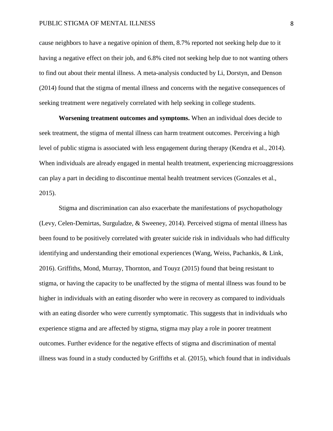cause neighbors to have a negative opinion of them, 8.7% reported not seeking help due to it having a negative effect on their job, and 6.8% cited not seeking help due to not wanting others to find out about their mental illness. A meta-analysis conducted by Li, Dorstyn, and Denson (2014) found that the stigma of mental illness and concerns with the negative consequences of seeking treatment were negatively correlated with help seeking in college students.

**Worsening treatment outcomes and symptoms.** When an individual does decide to seek treatment, the stigma of mental illness can harm treatment outcomes. Perceiving a high level of public stigma is associated with less engagement during therapy (Kendra et al., 2014). When individuals are already engaged in mental health treatment, experiencing microaggressions can play a part in deciding to discontinue mental health treatment services (Gonzales et al., 2015).

Stigma and discrimination can also exacerbate the manifestations of psychopathology (Levy, Celen-Demirtas, Surguladze, & Sweeney, 2014). Perceived stigma of mental illness has been found to be positively correlated with greater suicide risk in individuals who had difficulty identifying and understanding their emotional experiences (Wang, Weiss, Pachankis, & Link, 2016). Griffiths, Mond, Murray, Thornton, and Touyz (2015) found that being resistant to stigma, or having the capacity to be unaffected by the stigma of mental illness was found to be higher in individuals with an eating disorder who were in recovery as compared to individuals with an eating disorder who were currently symptomatic. This suggests that in individuals who experience stigma and are affected by stigma, stigma may play a role in poorer treatment outcomes. Further evidence for the negative effects of stigma and discrimination of mental illness was found in a study conducted by Griffiths et al. (2015), which found that in individuals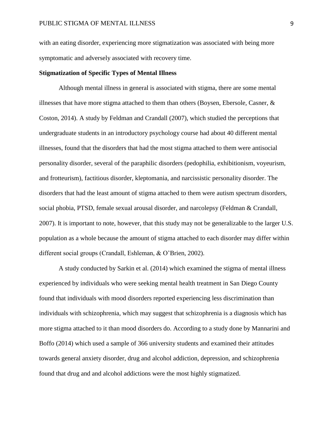with an eating disorder, experiencing more stigmatization was associated with being more symptomatic and adversely associated with recovery time.

# **Stigmatization of Specific Types of Mental Illness**

Although mental illness in general is associated with stigma, there are some mental illnesses that have more stigma attached to them than others (Boysen, Ebersole, Casner,  $\&$ Coston, 2014). A study by Feldman and Crandall (2007), which studied the perceptions that undergraduate students in an introductory psychology course had about 40 different mental illnesses, found that the disorders that had the most stigma attached to them were antisocial personality disorder, several of the paraphilic disorders (pedophilia, exhibitionism, voyeurism, and frotteurism), factitious disorder, kleptomania, and narcissistic personality disorder. The disorders that had the least amount of stigma attached to them were autism spectrum disorders, social phobia, PTSD, female sexual arousal disorder, and narcolepsy (Feldman & Crandall, 2007). It is important to note, however, that this study may not be generalizable to the larger U.S. population as a whole because the amount of stigma attached to each disorder may differ within different social groups (Crandall, Eshleman, & O'Brien, 2002).

A study conducted by Sarkin et al. (2014) which examined the stigma of mental illness experienced by individuals who were seeking mental health treatment in San Diego County found that individuals with mood disorders reported experiencing less discrimination than individuals with schizophrenia, which may suggest that schizophrenia is a diagnosis which has more stigma attached to it than mood disorders do. According to a study done by Mannarini and Boffo (2014) which used a sample of 366 university students and examined their attitudes towards general anxiety disorder, drug and alcohol addiction, depression, and schizophrenia found that drug and and alcohol addictions were the most highly stigmatized.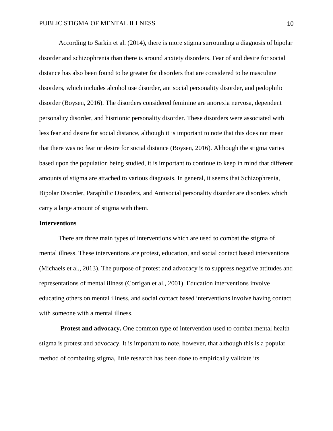According to Sarkin et al. (2014), there is more stigma surrounding a diagnosis of bipolar disorder and schizophrenia than there is around anxiety disorders. Fear of and desire for social distance has also been found to be greater for disorders that are considered to be masculine disorders, which includes alcohol use disorder, antisocial personality disorder, and pedophilic disorder (Boysen, 2016). The disorders considered feminine are anorexia nervosa, dependent personality disorder, and histrionic personality disorder. These disorders were associated with less fear and desire for social distance, although it is important to note that this does not mean that there was no fear or desire for social distance (Boysen, 2016). Although the stigma varies based upon the population being studied, it is important to continue to keep in mind that different amounts of stigma are attached to various diagnosis. In general, it seems that Schizophrenia, Bipolar Disorder, Paraphilic Disorders, and Antisocial personality disorder are disorders which carry a large amount of stigma with them.

## **Interventions**

There are three main types of interventions which are used to combat the stigma of mental illness. These interventions are protest, education, and social contact based interventions (Michaels et al., 2013). The purpose of protest and advocacy is to suppress negative attitudes and representations of mental illness (Corrigan et al., 2001). Education interventions involve educating others on mental illness, and social contact based interventions involve having contact with someone with a mental illness.

**Protest and advocacy.** One common type of intervention used to combat mental health stigma is protest and advocacy. It is important to note, however, that although this is a popular method of combating stigma, little research has been done to empirically validate its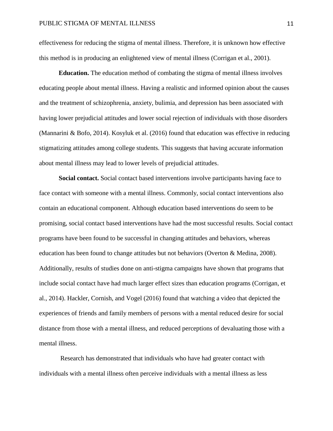effectiveness for reducing the stigma of mental illness. Therefore, it is unknown how effective this method is in producing an enlightened view of mental illness (Corrigan et al., 2001).

**Education.** The education method of combating the stigma of mental illness involves educating people about mental illness. Having a realistic and informed opinion about the causes and the treatment of schizophrenia, anxiety, bulimia, and depression has been associated with having lower prejudicial attitudes and lower social rejection of individuals with those disorders (Mannarini & Bofo, 2014). Kosyluk et al. (2016) found that education was effective in reducing stigmatizing attitudes among college students. This suggests that having accurate information about mental illness may lead to lower levels of prejudicial attitudes.

**Social contact.** Social contact based interventions involve participants having face to face contact with someone with a mental illness. Commonly, social contact interventions also contain an educational component. Although education based interventions do seem to be promising, social contact based interventions have had the most successful results. Social contact programs have been found to be successful in changing attitudes and behaviors, whereas education has been found to change attitudes but not behaviors (Overton & Medina, 2008). Additionally, results of studies done on anti-stigma campaigns have shown that programs that include social contact have had much larger effect sizes than education programs (Corrigan, et al., 2014). Hackler, Cornish, and Vogel (2016) found that watching a video that depicted the experiences of friends and family members of persons with a mental reduced desire for social distance from those with a mental illness, and reduced perceptions of devaluating those with a mental illness.

Research has demonstrated that individuals who have had greater contact with individuals with a mental illness often perceive individuals with a mental illness as less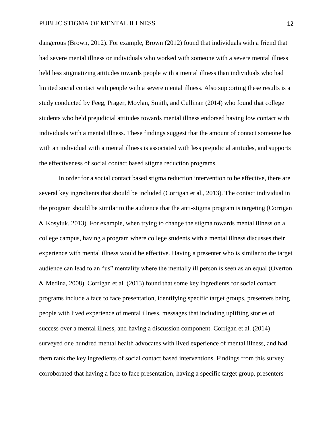dangerous (Brown, 2012). For example, Brown (2012) found that individuals with a friend that had severe mental illness or individuals who worked with someone with a severe mental illness held less stigmatizing attitudes towards people with a mental illness than individuals who had limited social contact with people with a severe mental illness. Also supporting these results is a study conducted by Feeg, Prager, Moylan, Smith, and Cullinan (2014) who found that college students who held prejudicial attitudes towards mental illness endorsed having low contact with individuals with a mental illness. These findings suggest that the amount of contact someone has with an individual with a mental illness is associated with less prejudicial attitudes, and supports the effectiveness of social contact based stigma reduction programs.

In order for a social contact based stigma reduction intervention to be effective, there are several key ingredients that should be included (Corrigan et al., 2013). The contact individual in the program should be similar to the audience that the anti-stigma program is targeting (Corrigan & Kosyluk, 2013). For example, when trying to change the stigma towards mental illness on a college campus, having a program where college students with a mental illness discusses their experience with mental illness would be effective. Having a presenter who is similar to the target audience can lead to an "us" mentality where the mentally ill person is seen as an equal (Overton & Medina, 2008). Corrigan et al. (2013) found that some key ingredients for social contact programs include a face to face presentation, identifying specific target groups, presenters being people with lived experience of mental illness, messages that including uplifting stories of success over a mental illness, and having a discussion component. Corrigan et al. (2014) surveyed one hundred mental health advocates with lived experience of mental illness, and had them rank the key ingredients of social contact based interventions. Findings from this survey corroborated that having a face to face presentation, having a specific target group, presenters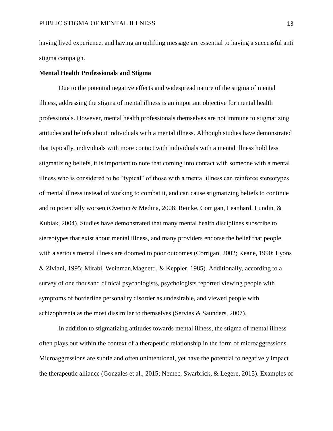having lived experience, and having an uplifting message are essential to having a successful anti stigma campaign.

# **Mental Health Professionals and Stigma**

Due to the potential negative effects and widespread nature of the stigma of mental illness, addressing the stigma of mental illness is an important objective for mental health professionals. However, mental health professionals themselves are not immune to stigmatizing attitudes and beliefs about individuals with a mental illness. Although studies have demonstrated that typically, individuals with more contact with individuals with a mental illness hold less stigmatizing beliefs, it is important to note that coming into contact with someone with a mental illness who is considered to be "typical" of those with a mental illness can reinforce stereotypes of mental illness instead of working to combat it, and can cause stigmatizing beliefs to continue and to potentially worsen (Overton & Medina, 2008; Reinke, Corrigan, Leanhard, Lundin, & Kubiak, 2004). Studies have demonstrated that many mental health disciplines subscribe to stereotypes that exist about mental illness, and many providers endorse the belief that people with a serious mental illness are doomed to poor outcomes (Corrigan, 2002; Keane, 1990; Lyons & Ziviani, 1995; Mirabi, Weinman,Magnetti, & Keppler, 1985). Additionally, according to a survey of one thousand clinical psychologists, psychologists reported viewing people with symptoms of borderline personality disorder as undesirable, and viewed people with schizophrenia as the most dissimilar to themselves (Servias & Saunders, 2007).

In addition to stigmatizing attitudes towards mental illness, the stigma of mental illness often plays out within the context of a therapeutic relationship in the form of microaggressions. Microaggressions are subtle and often unintentional, yet have the potential to negatively impact the therapeutic alliance (Gonzales et al., 2015; Nemec, Swarbrick, & Legere, 2015). Examples of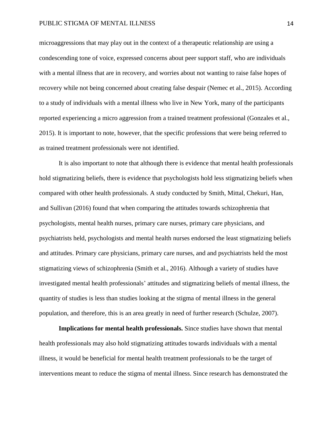microaggressions that may play out in the context of a therapeutic relationship are using a condescending tone of voice, expressed concerns about peer support staff, who are individuals with a mental illness that are in recovery, and worries about not wanting to raise false hopes of recovery while not being concerned about creating false despair (Nemec et al., 2015). According to a study of individuals with a mental illness who live in New York, many of the participants reported experiencing a micro aggression from a trained treatment professional (Gonzales et al., 2015). It is important to note, however, that the specific professions that were being referred to as trained treatment professionals were not identified.

It is also important to note that although there is evidence that mental health professionals hold stigmatizing beliefs, there is evidence that psychologists hold less stigmatizing beliefs when compared with other health professionals. A study conducted by Smith, Mittal, Chekuri, Han, and Sullivan (2016) found that when comparing the attitudes towards schizophrenia that psychologists, mental health nurses, primary care nurses, primary care physicians, and psychiatrists held, psychologists and mental health nurses endorsed the least stigmatizing beliefs and attitudes. Primary care physicians, primary care nurses, and and psychiatrists held the most stigmatizing views of schizophrenia (Smith et al., 2016). Although a variety of studies have investigated mental health professionals' attitudes and stigmatizing beliefs of mental illness, the quantity of studies is less than studies looking at the stigma of mental illness in the general population, and therefore, this is an area greatly in need of further research (Schulze, 2007).

**Implications for mental health professionals.** Since studies have shown that mental health professionals may also hold stigmatizing attitudes towards individuals with a mental illness, it would be beneficial for mental health treatment professionals to be the target of interventions meant to reduce the stigma of mental illness. Since research has demonstrated the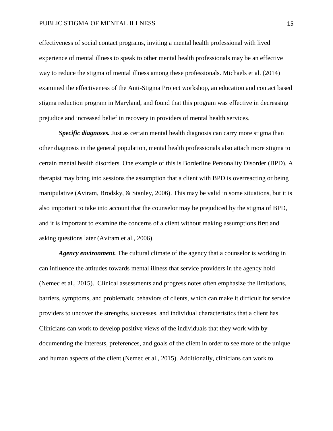effectiveness of social contact programs, inviting a mental health professional with lived experience of mental illness to speak to other mental health professionals may be an effective way to reduce the stigma of mental illness among these professionals. Michaels et al. (2014) examined the effectiveness of the Anti-Stigma Project workshop, an education and contact based stigma reduction program in Maryland, and found that this program was effective in decreasing prejudice and increased belief in recovery in providers of mental health services.

**Specific diagnoses.** Just as certain mental health diagnosis can carry more stigma than other diagnosis in the general population, mental health professionals also attach more stigma to certain mental health disorders. One example of this is Borderline Personality Disorder (BPD). A therapist may bring into sessions the assumption that a client with BPD is overreacting or being manipulative (Aviram, Brodsky, & Stanley, 2006). This may be valid in some situations, but it is also important to take into account that the counselor may be prejudiced by the stigma of BPD, and it is important to examine the concerns of a client without making assumptions first and asking questions later (Aviram et al., 2006).

*Agency environment*. The cultural climate of the agency that a counselor is working in can influence the attitudes towards mental illness that service providers in the agency hold (Nemec et al., 2015). Clinical assessments and progress notes often emphasize the limitations, barriers, symptoms, and problematic behaviors of clients, which can make it difficult for service providers to uncover the strengths, successes, and individual characteristics that a client has. Clinicians can work to develop positive views of the individuals that they work with by documenting the interests, preferences, and goals of the client in order to see more of the unique and human aspects of the client (Nemec et al., 2015). Additionally, clinicians can work to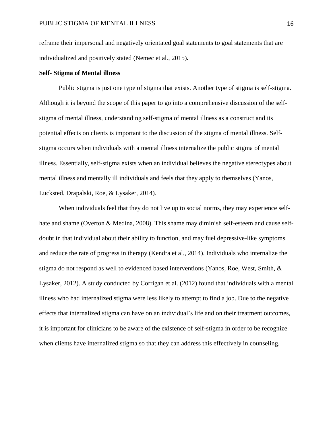reframe their impersonal and negatively orientated goal statements to goal statements that are individualized and positively stated (Nemec et al., 2015)**.**

# **Self- Stigma of Mental illness**

Public stigma is just one type of stigma that exists. Another type of stigma is self-stigma. Although it is beyond the scope of this paper to go into a comprehensive discussion of the selfstigma of mental illness, understanding self-stigma of mental illness as a construct and its potential effects on clients is important to the discussion of the stigma of mental illness. Selfstigma occurs when individuals with a mental illness internalize the public stigma of mental illness. Essentially, self-stigma exists when an individual believes the negative stereotypes about mental illness and mentally ill individuals and feels that they apply to themselves (Yanos, Lucksted, Drapalski, Roe, & Lysaker, 2014).

When individuals feel that they do not live up to social norms, they may experience selfhate and shame (Overton & Medina, 2008). This shame may diminish self-esteem and cause selfdoubt in that individual about their ability to function, and may fuel depressive-like symptoms and reduce the rate of progress in therapy (Kendra et al., 2014). Individuals who internalize the stigma do not respond as well to evidenced based interventions (Yanos, Roe, West, Smith, & Lysaker, 2012). A study conducted by Corrigan et al. (2012) found that individuals with a mental illness who had internalized stigma were less likely to attempt to find a job. Due to the negative effects that internalized stigma can have on an individual's life and on their treatment outcomes, it is important for clinicians to be aware of the existence of self-stigma in order to be recognize when clients have internalized stigma so that they can address this effectively in counseling.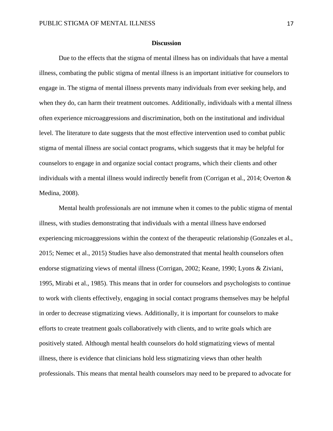#### **Discussion**

Due to the effects that the stigma of mental illness has on individuals that have a mental illness, combating the public stigma of mental illness is an important initiative for counselors to engage in. The stigma of mental illness prevents many individuals from ever seeking help, and when they do, can harm their treatment outcomes. Additionally, individuals with a mental illness often experience microaggressions and discrimination, both on the institutional and individual level. The literature to date suggests that the most effective intervention used to combat public stigma of mental illness are social contact programs, which suggests that it may be helpful for counselors to engage in and organize social contact programs, which their clients and other individuals with a mental illness would indirectly benefit from (Corrigan et al., 2014; Overton  $\&$ Medina, 2008).

Mental health professionals are not immune when it comes to the public stigma of mental illness, with studies demonstrating that individuals with a mental illness have endorsed experiencing microaggressions within the context of the therapeutic relationship (Gonzales et al., 2015; Nemec et al., 2015) Studies have also demonstrated that mental health counselors often endorse stigmatizing views of mental illness (Corrigan, 2002; Keane, 1990; Lyons & Ziviani, 1995, Mirabi et al., 1985). This means that in order for counselors and psychologists to continue to work with clients effectively, engaging in social contact programs themselves may be helpful in order to decrease stigmatizing views. Additionally, it is important for counselors to make efforts to create treatment goals collaboratively with clients, and to write goals which are positively stated. Although mental health counselors do hold stigmatizing views of mental illness, there is evidence that clinicians hold less stigmatizing views than other health professionals. This means that mental health counselors may need to be prepared to advocate for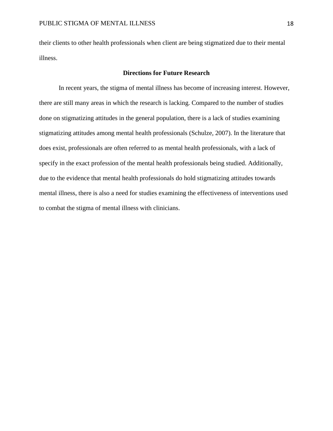their clients to other health professionals when client are being stigmatized due to their mental illness.

# **Directions for Future Research**

In recent years, the stigma of mental illness has become of increasing interest. However, there are still many areas in which the research is lacking. Compared to the number of studies done on stigmatizing attitudes in the general population, there is a lack of studies examining stigmatizing attitudes among mental health professionals (Schulze, 2007). In the literature that does exist, professionals are often referred to as mental health professionals, with a lack of specify in the exact profession of the mental health professionals being studied. Additionally, due to the evidence that mental health professionals do hold stigmatizing attitudes towards mental illness, there is also a need for studies examining the effectiveness of interventions used to combat the stigma of mental illness with clinicians.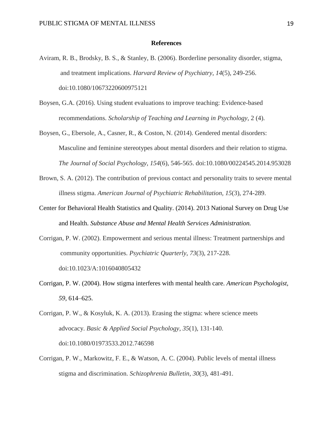## **References**

- Aviram, R. B., Brodsky, B. S., & Stanley, B. (2006). Borderline personality disorder, stigma, and treatment implications. *Harvard Review of Psychiatry*, *14*(5), 249-256. doi:10.1080/10673220600975121
- Boysen, G.A. (2016). Using student evaluations to improve teaching: Evidence-based recommendations. *Scholarship of Teaching and Learning in Psychology,* 2 (4).
- Boysen, G., Ebersole, A., Casner, R., & Coston, N. (2014). Gendered mental disorders: Masculine and feminine stereotypes about mental disorders and their relation to stigma. *The Journal of Social Psychology*, *154*(6), 546-565. doi:10.1080/00224545.2014.953028
- Brown, S. A. (2012). The contribution of previous contact and personality traits to severe mental illness stigma. *American Journal of Psychiatric Rehabilitation, 15*(3), 274-289.
- Center for Behavioral Health Statistics and Quality. (2014). 2013 National Survey on Drug Use and Health. *Substance Abuse and Mental Health Services Administration.*
- Corrigan, P. W. (2002). Empowerment and serious mental illness: Treatment partnerships and community opportunities. *Psychiatric Quarterly*, *73*(3), 217-228. doi:10.1023/A:1016040805432
- Corrigan, P. W. (2004). How stigma interferes with mental health care. *American Psychologist, 59,* 614–625.
- Corrigan, P. W., & Kosyluk, K. A. (2013). Erasing the stigma: where science meets advocacy. *Basic & Applied Social Psychology*, *35*(1), 131-140. doi:10.1080/01973533.2012.746598
- Corrigan, P. W., Markowitz, F. E., & Watson, A. C. (2004). Public levels of mental illness stigma and discrimination. *Schizophrenia Bulletin*, *30*(3), 481-491.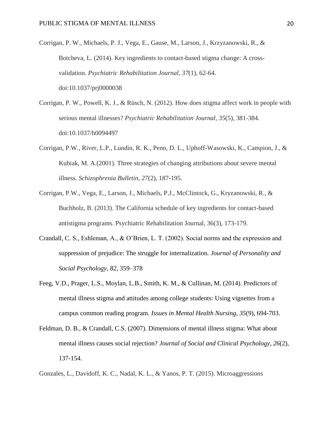Corrigan, P. W., Michaels, P. J., Vega, E., Gause, M., Larson, J., Krzyzanowski, R., & Botcheva, L. (2014). Key ingredients to contact-based stigma change: A crossvalidation. *Psychiatric Rehabilitation Journal*, *37*(1), 62-64. doi:10.1037/prj0000038

- Corrigan, P. W., Powell, K. J., & Rüsch, N. (2012). How does stigma affect work in people with serious mental illnesses? *Psychiatric Rehabilitation Journal*, *35*(5), 381-384. doi:10.1037/h0094497
- Corrigan, P.W., River, L.P., Lundin, R. K., Penn, D. L., Uphoff-Wasowski, K., Campion, J., & Kubiak, M. A.(2001). Three strategies of changing attributions about severe mental illness. *Schizophrenia Bulletin, 27*(2), 187-195.
- Corrigan, P.W., Vega, E., Larson, J., Michaels, P.J., McClintock, G., Kryzanowski, R., & Buchholz, B. (2013). The California schedule of key ingredients for contact-based antistigma programs. Psychiatric Rehabilitation Journal, 36(3), 173-179.
- Crandall, C. S., Eshleman, A., & O'Brien, L. T. (2002). Social norms and the expression and suppression of prejudice: The struggle for internalization. *Journal of Personality and Social Psychology, 82*, 359–378
- Feeg, V.D., Prager, L.S., Moylan, L.B., Smith, K. M., & Cullinan, M. (2014). Predictors of mental illness stigma and attitudes among college students: Using vignettes from a campus common reading program. *Issues in Mental Health Nursing, 35*(9), 694-703.
- Feldman, D. B., & Crandall, C.S. (2007). Dimensions of mental illness stigma: What about mental illness causes social rejection? *Journal of Social and Clinical Psychology, 26*(2), 137-154.

Gonzales, L., Davidoff, K. C., Nadal, K. L., & Yanos, P. T. (2015). Microaggressions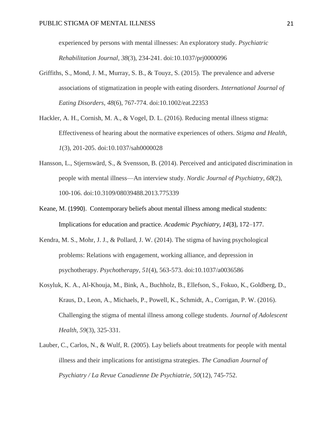experienced by persons with mental illnesses: An exploratory study. *Psychiatric Rehabilitation Journal*, *38*(3), 234-241. doi:10.1037/prj0000096

- Griffiths, S., Mond, J. M., Murray, S. B., & Touyz, S. (2015). The prevalence and adverse associations of stigmatization in people with eating disorders. *International Journal of Eating Disorders*, *48*(6), 767-774. doi:10.1002/eat.22353
- Hackler, A. H., Cornish, M. A., & Vogel, D. L. (2016). Reducing mental illness stigma: Effectiveness of hearing about the normative experiences of others. *Stigma and Health*, *1*(3), 201-205. doi:10.1037/sah0000028
- Hansson, L., Stjernswärd, S., & Svensson, B. (2014). Perceived and anticipated discrimination in people with mental illness—An interview study. *Nordic Journal of Psychiatry*, *68*(2), 100-106. doi:10.3109/08039488.2013.775339
- Keane, M. (1990). Contemporary beliefs about mental illness among medical students: Implications for education and practice. *Academic Psychiatry*, *14*(3), 172–177.
- Kendra, M. S., Mohr, J. J., & Pollard, J. W. (2014). The stigma of having psychological problems: Relations with engagement, working alliance, and depression in psychotherapy. *Psychotherapy*, *51*(4), 563-573. doi:10.1037/a0036586
- Kosyluk, K. A., Al-Khouja, M., Bink, A., Buchholz, B., Ellefson, S., Fokuo, K., Goldberg, D., Kraus, D., Leon, A., Michaels, P., Powell, K., Schmidt, A., Corrigan, P. W. (2016). Challenging the stigma of mental illness among college students. *Journal of Adolescent Health, 59*(3), 325-331.
- Lauber, C., Carlos, N., & Wulf, R. (2005). Lay beliefs about treatments for people with mental illness and their implications for antistigma strategies. *The Canadian Journal of Psychiatry / La Revue Canadienne De Psychiatrie*, *50*(12), 745-752.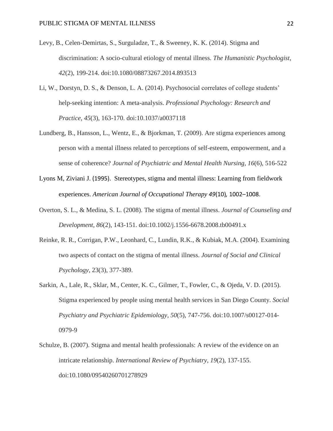- Levy, B., Celen-Demirtas, S., Surguladze, T., & Sweeney, K. K. (2014). Stigma and discrimination: A socio-cultural etiology of mental illness. *The Humanistic Psychologist*, *42*(2), 199-214. doi:10.1080/08873267.2014.893513
- Li, W., Dorstyn, D. S., & Denson, L. A. (2014). Psychosocial correlates of college students' help-seeking intention: A meta-analysis. *Professional Psychology: Research and Practice*, *45*(3), 163-170. doi:10.1037/a0037118
- Lundberg, B., Hansson, L., Wentz, E., & Bjorkman, T. (2009). Are stigma experiences among person with a mental illness related to perceptions of self-esteem, empowerment, and a sense of coherence? *Journal of Psychiatric and Mental Health Nursing, 16*(6), 516-522
- Lyons M, Ziviani J. (1995). Stereotypes, stigma and mental illness: Learning from fieldwork experiences. *American Journal of Occupational Therapy 49*(10)*,* 1002–1008.
- Overton, S. L., & Medina, S. L. (2008). The stigma of mental illness. *Journal of Counseling and Development*, *86*(2), 143-151. doi:10.1002/j.1556-6678.2008.tb00491.x
- Reinke, R. R., Corrigan, P.W., Leonhard, C., Lundin, R.K., & Kubiak, M.A. (2004). Examining two aspects of contact on the stigma of mental illness. *Journal of Social and Clinical Psychology*, 23(3), 377-389.
- Sarkin, A., Lale, R., Sklar, M., Center, K. C., Gilmer, T., Fowler, C., & Ojeda, V. D. (2015). Stigma experienced by people using mental health services in San Diego County. *Social Psychiatry and Psychiatric Epidemiology*, *50*(5), 747-756. doi:10.1007/s00127-014- 0979-9
- Schulze, B. (2007). Stigma and mental health professionals: A review of the evidence on an intricate relationship. *International Review of Psychiatry*, *19*(2), 137-155. doi:10.1080/09540260701278929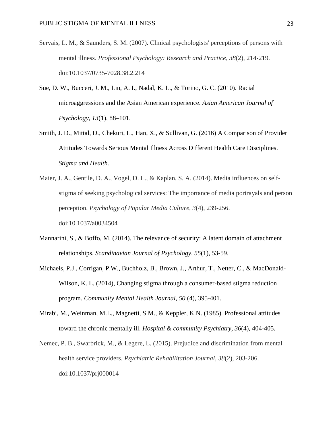- Servais, L. M., & Saunders, S. M. (2007). Clinical psychologists' perceptions of persons with mental illness. *Professional Psychology: Research and Practice*, *38*(2), 214-219. doi:10.1037/0735-7028.38.2.214
- Sue, D. W., Bucceri, J. M., Lin, A. I., Nadal, K. L., & Torino, G. C. (2010). Racial microaggressions and the Asian American experience. *Asian American Journal of Psychology, 13*(1), 88–101.
- Smith, J. D., Mittal, D., Chekuri, L., Han, X., & Sullivan, G. (2016) A Comparison of Provider Attitudes Towards Serious Mental Illness Across Different Health Care Disciplines. *Stigma and Health.*
- Maier, J. A., Gentile, D. A., Vogel, D. L., & Kaplan, S. A. (2014). Media influences on selfstigma of seeking psychological services: The importance of media portrayals and person perception. *Psychology of Popular Media Culture*, *3*(4), 239-256. doi:10.1037/a0034504
- Mannarini, S., & Boffo, M. (2014). The relevance of security: A latent domain of attachment relationships. *Scandinavian Journal of Psychology, 55*(1), 53-59.
- Michaels, P.J., Corrigan, P.W., Buchholz, B., Brown, J., Arthur, T., Netter, C., & MacDonald-Wilson, K. L. (2014), Changing stigma through a consumer-based stigma reduction program. *Community Mental Health Journal, 50* (4), 395-401.
- Mirabi, M., Weinman, M.L., Magnetti, S.M., & Keppler, K.N. (1985). Professional attitudes toward the chronic mentally ill. *Hospital & community Psychiatry, 36*(4), 404-405.
- Nemec, P. B., Swarbrick, M., & Legere, L. (2015). Prejudice and discrimination from mental health service providers. *Psychiatric Rehabilitation Journal*, *38*(2), 203-206. doi:10.1037/prj000014